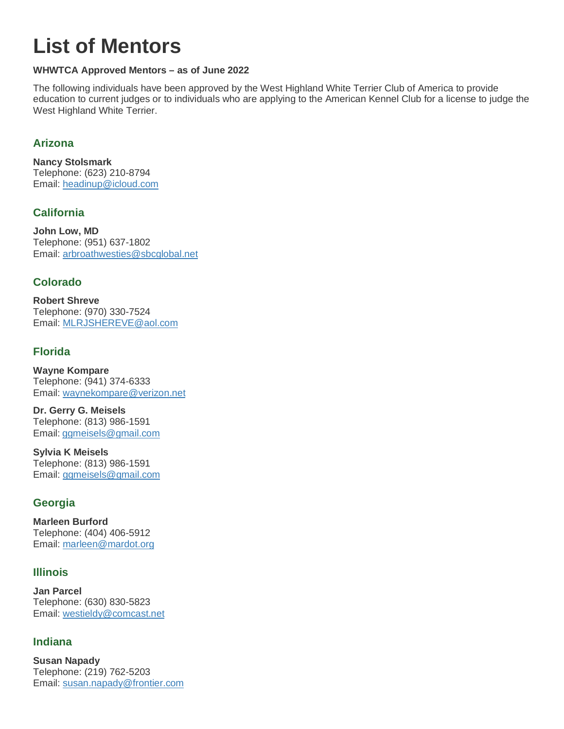# **List of Mentors**

#### **WHWTCA Approved Mentors – as of June 2022**

The following individuals have been approved by the West Highland White Terrier Club of America to provide education to current judges or to individuals who are applying to the American Kennel Club for a license to judge the West Highland White Terrier.

## **Arizona**

**Nancy Stolsmark** Telephone: (623) 210-8794 Email: [headinup@icloud.com](mailto:headinup@icloud.com) 

# **California**

**John Low, MD** Telephone: (951) 637-1802 Email: [arbroathwesties@sbcglobal.net](mailto:arbroathwesties@sbcglobal.net)

## **Colorado**

**Robert Shreve** Telephone: (970) 330-7524 Email: [MLRJSHEREVE@aol.com](mailto:MLRJSHEREVE@aol.com)

## **Florida**

**Wayne Kompare** Telephone: (941) 374-6333 Email: [waynekompare@verizon.net](mailto:waynekompare@verizon.net)

**Dr. Gerry G. Meisels** Telephone: (813) 986-1591 Email: [ggmeisels@gmail.com](mailto:ggmeisels@gmail.com)

**Sylvia K Meisels** Telephone: (813) 986-1591 Email: [ggmeisels@gmail.com](mailto:ggmeisels@gmail.com)

## **Georgia**

**Marleen Burford** Telephone: (404) 406-5912 Email: [marleen@mardot.org](mailto:marleen@mardot.org)

## **Illinois**

**Jan Parcel** Telephone: (630) 830-5823 Email: [westieldy@comcast.net](mailto:westieldy@comcast.net)

# **Indiana**

**Susan Napady** Telephone: (219) 762-5203 Email: [susan.napady@frontier.com](mailto:susan.napady@frontier.com)